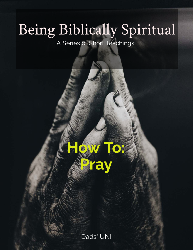# Being Biblically Spiritual

A Series of Short Teachings



Dads' UNI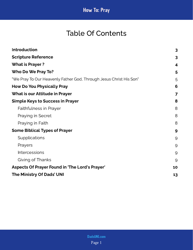# Table Of Contents

| <b>Introduction</b>                                                | 3  |
|--------------------------------------------------------------------|----|
| <b>Scripture Reference</b>                                         | 3  |
| <b>What is Prayer?</b>                                             | 4  |
| Who Do We Pray To?                                                 | 5  |
| "We Pray To Our Heavenly Father God, Through Jesus Christ His Son" | 5  |
| <b>How Do You Physically Pray</b>                                  | 6  |
| <b>What is our Attitude in Prayer</b>                              | 7  |
| <b>Simple Keys to Success in Prayer</b>                            | 8  |
| <b>Faithfulness in Prayer</b>                                      | 8  |
| Praying in Secret                                                  | 8  |
| Praying in Faith                                                   | 8  |
| <b>Some Biblical Types of Prayer</b>                               | 9  |
| Supplications                                                      | 9  |
| Prayers                                                            | 9  |
| <b>Intercessions</b>                                               | 9  |
| Giving of Thanks                                                   | 9  |
| Aspects Of Prayer Found in 'The Lord's Prayer'                     | 10 |
| The Ministry Of Dads' UNI                                          | 13 |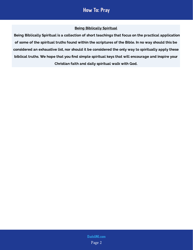### Being Biblically Spiritual

 Being Biblically Spiritual is a collection of short teachings that focus on the practical application of some of the spiritual truths found within the scriptures of the Bible. In no way should this be considered an exhaustive list, nor should it be considered the only way to spiritually apply these biblical truths. We hope that you find simple spiritual keys that will encourage and inspire your Christian faith and daily spiritual walk with God.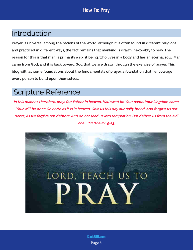# <span id="page-3-0"></span>Introduction

Prayer is universal among the nations of the world, although it is often found in different religions and practiced in different ways, the fact remains that mankind is drawn inexorably to pray. The reason for this is that man is primarily a spirit being, who lives in a body and has an eternal soul. Man came from God, and it is back toward God that we are drawn through the exercise of prayer. This blog will lay some foundations about the fundamentals of prayer, a foundation that I encourage every person to build upon themselves.

# <span id="page-3-1"></span>Scripture Reference

In this manner, therefore, pray: Our Father in heaven, Hallowed be Your name. Your kingdom come. Your will be done On earth as it is in heaven. Give us this day our daily bread. And forgive us our debts, As we forgive our debtors. And do not lead us into temptation, But deliver us from the evil one... (Matthew 6:9-13)



Page 3 [DadsUNI.com](https://www.dadsuni.com/)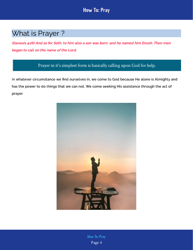# <span id="page-4-0"></span>What is Prayer ?

(Genesis 4:26) And as for Seth, to him also a son was born; and he named him Enosh. Then men began to call on the name of the Lord.

### Prayer in it's simplest form is basically calling upon God for help.

In whatever circumstance we find ourselves in, we come to God because He alone is Almighty and has the power to do things that we can not. We come seeking His assistance through the act of prayer.



Page 4 [How To: Pray](https://www.dadsuni.com/post/how-to-pray)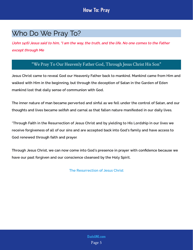# <span id="page-5-0"></span>Who Do We Pray To?

(John 14:6) Jesus said to him, "I am the way, the truth, and the life. No one comes to the Father except through Me

### "We Pray To Our Heavenly Father God, Through Jesus Christ His Son"

<span id="page-5-1"></span>Jesus Christ came to reveal God our Heavenly Father back to mankind. Mankind came from Him and walked with Him in the beginning, but through the deception of Satan in the Garden of Eden mankind lost that daily sense of communion with God.

The inner nature of man became perverted and sinful as we fell under the control of Satan, and our thoughts and lives became selfish and carnal as that fallen nature manifested in our daily lives.

\*Through Faith in the Resurrection of Jesus Christ and by yielding to His Lordship in our lives we receive forgiveness of all of our sins and are accepted back into God's family and have access to God renewed through faith and prayer.

Through Jesus Christ, we can now come into God's presence in prayer with confidence because we have our past forgiven and our conscience cleansed by the Holy Spirit.

[The Resurrection of Jesus Christ](https://www.dadsuni.com/post/what-is-easter-really-about)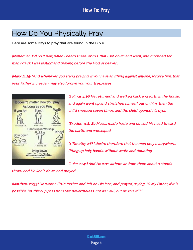# <span id="page-6-0"></span>How Do You Physically Pray

Here are some ways to pray that are found in the Bible.

(Nehemiah 1:4) So it was, when I heard these words, that I sat down and wept, and mourned for many days; I was fasting and praying before the God of heaven.

(Mark 11:25) "And whenever you stand praying, if you have anything against anyone, forgive him, that your Father in heaven may also forgive you your trespasses



(2 Kings 4:35) He returned and walked back and forth in the house, and again went up and stretched himself out on him; then the child sneezed seven times, and the child opened his eyes

(Exodus 34:8) So Moses made haste and bowed his head toward the earth, and worshiped

(1 Timothy 2:8) I desire therefore that the men pray everywhere, lifting up holy hands, without wrath and doubting

(Luke 22:41) And He was withdrawn from them about a stone's

throw, and He knelt down and prayed

(Matthew 26:39) He went a little farther and fell on His face, and prayed, saying, "O My Father, if it is possible, let this cup pass from Me; nevertheless, not as I will, but as You will."

> Page 6 [DadsUNI.com](https://www.dadsuni.com/)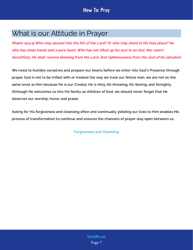# <span id="page-7-0"></span>What is our Attitude in Prayer

(Psalm 24:3-5) Who may ascend into the hill of the Lord? Or who may stand in His holy place? He who has clean hands and a pure heart, Who has not lifted up his soul to an idol, Nor sworn deceitfully. He shall receive blessing from the Lord, And righteousness from the God of his salvation

We need to humble ourselves and prepare our hearts before we enter into God's Presence through prayer. God is not to be trifled with or treated the way we treat our fellow man, we are not on the same level as Him because He is our Creator, He is Holy, All-Knowing, All-Seeing, and Almighty. Although He welcomes us into His family as children of God, we should never forget that He deserves our worship, honor, and praise.

Asking for His forgiveness and cleansing often and continually yielding our lives to Him enables His process of transformation to continue and ensures the channels of prayer stay open between us.

[Forgiveness and Cleansing](https://www.dadsuni.com/post/how-to-find-forgiveness-and-cleansing)

Page 7 [DadsUNI.com](https://www.dadsuni.com/)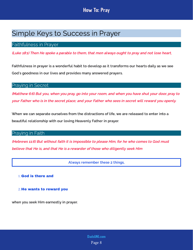# <span id="page-8-0"></span>Simple Keys to Success in Prayer

### <span id="page-8-1"></span>Faithfulness in Prayer

(Luke 18:1) Then He spoke a parable to them, that men always ought to pray and not lose heart,

Faithfulness in prayer is a wonderful habit to develop as it transforms our hearts daily as we see God's goodness in our lives and provides many answered prayers.

### <span id="page-8-2"></span>Praying in Secret

(Matthew 6:6) But you, when you pray, go into your room, and when you have shut your door, pray to your Father who is in the secret place; and your Father who sees in secret will reward you openly.

When we can separate ourselves from the distractions of life, we are released to enter into a beautiful relationship with our loving Heavenly Father in prayer.

### <span id="page-8-3"></span>Praying in Faith

(Hebrews 11:6) But without faith it is impossible to please Him, for he who comes to God must believe that He is, and that He is a rewarder of those who diligently seek Him

Always remember these 2 things,

1. God is there and

2. He wants to reward you

when you seek Him earnestly in prayer.

Page 8 [DadsUNI.com](https://www.dadsuni.com/)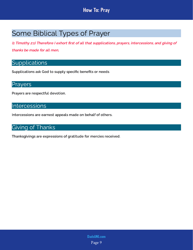# <span id="page-9-0"></span>Some Biblical Types of Prayer

(1 Timothy 2:1) Therefore I exhort first of all that supplications, prayers, intercessions, and giving of thanks be made for all men,

# <span id="page-9-1"></span>**Supplications**

Supplications ask God to supply specific benefits or needs.

### <span id="page-9-2"></span>Prayers

Prayers are respectful devotion.

### <span id="page-9-3"></span>Intercessions

Intercessions are earnest appeals made on behalf of others.

# <span id="page-9-4"></span>Giving of Thanks

Thanksgivings are expressions of gratitude for mercies received.

Page 9 [DadsUNI.com](https://www.dadsuni.com/)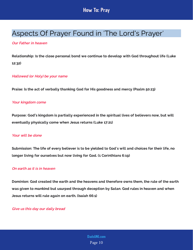# <span id="page-10-0"></span>Aspects Of Prayer Found in 'The Lord's Prayer'

### Our Father in heaven

Relationship: Is the close personal bond we continue to develop with God throughout life (Luke 12:32)

#### Hallowed (or Holy) be your name

Praise: Is the act of verbally thanking God for His goodness and mercy (Psalm 50:23)

#### Your kingdom come

Purpose: God's kingdom is partially experienced in the spiritual lives of believers now, but will eventually physically come when Jesus returns (Luke 17:21)

#### Your will be done

Submission: The life of every believer is to be yielded to God's will and choices for their life, no longer living for ourselves but now living for God. (1 Corinthians 6:19)

### On earth as it is in heaven

Dominion: God created the earth and the heavens and therefore owns them, the rule of the earth was given to mankind but usurped through deception by Satan. God rules in heaven and when Jesus returns will rule again on earth. (Isaiah 66:1)

Give us this day our daily bread

Page 10 [DadsUNI.com](https://www.dadsuni.com/)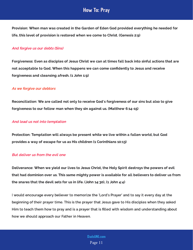Provision: When man was created in the Garden of Eden God provided everything he needed for life, this level of provision is restored when we come to Christ. (Genesis 2:9)

#### And forgive us our debts (Sins)

Forgiveness: Even as disciples of Jesus Christ we can at times fall back into sinful actions that are not acceptable to God. When this happens we can come confidently to Jesus and receive forgiveness and cleansing afresh. (1 John 1:9)

### As we forgive our debtors

Reconciliation: We are called not only to receive God's forgiveness of our sins but also to give forgiveness to our fellow man when they sin against us. (Matthew 6:14-15)

#### And lead us not into temptation

Protection: Temptation will always be present while we live within a fallen world, but God provides a way of escape for us as His children (1 Corinthians 10:13)

#### But deliver us from the evil one

Deliverance: When we yield our lives to Jesus Christ, the Holy Spirit destroys the powers of evil that had dominion over us. This same mighty power is available for all believers to deliver us from the snares that the devil sets for us in life. (John 14:30), (1 John 4:4)

I would encourage every believer to memorize the 'Lord's Prayer' and to say it every day at the beginning of their prayer time. This is the prayer that Jesus gave to His disciples when they asked Him to teach them how to pray and is a prayer that is filled with wisdom and understanding about how we should approach our Father in Heaven.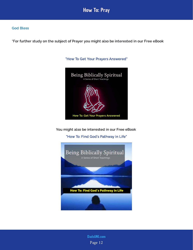

#### God Bless

\*For further study on the subject of Prayer you might also be interested in our Free eBook



["How To Get Your Prayers Answered"](https://www.dadsuni.com/faithhub)

You might also be interested in our Free eBook

["How To: Find God's Pathway in Life"](https://www.dadsuni.com/faithhub)



Page 12 [DadsUNI.com](https://www.dadsuni.com/)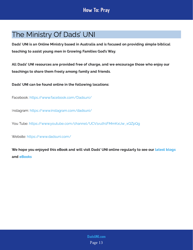# <span id="page-13-0"></span>The Ministry Of Dads' UNI

Dads' UNI is an Online Ministry based in Australia and is focused on providing simple biblical teaching to assist young men in Growing Families God's Way.

All Dads' UNI resources are provided free of charge, and we encourage those who enjoy our teachings to share them freely among family and friends.

Dads' UNI can be found online in the following locations:

Facebook: <https://www.facebook.com/Dadsuni/>

Instagram:<https://www.instagram.com/dadsuni/>

You Tube: [https://www.youtube.com/channel/UCV1vuth1FMmKxiJw\\_xQZpQg](https://www.youtube.com/channel/UCV1vuth1FMmKxiJw_xQZpQg)

Website: <https://www.dadsuni.com/>

We hope you enjoyed this eBook and will visit Dads' UNI online regularly to see our  [latest blogs](https://www.dadsuni.com/parenting-blog) and [eBooks](https://www.dadsuni.com/ebook-library)

> Page 13 [DadsUNI.com](https://www.dadsuni.com/)